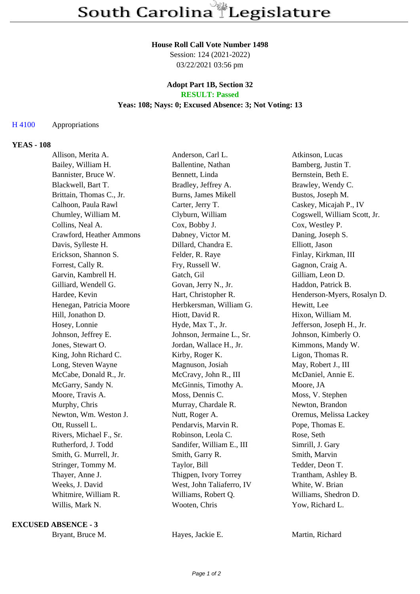#### **House Roll Call Vote Number 1498**

Session: 124 (2021-2022) 03/22/2021 03:56 pm

## **Adopt Part 1B, Section 32 RESULT: Passed**

## **Yeas: 108; Nays: 0; Excused Absence: 3; Not Voting: 13**

### H 4100 Appropriations

#### **YEAS - 108**

| Allison, Merita A.       | Anderson, Carl L.         | Atkinson, Lucas              |
|--------------------------|---------------------------|------------------------------|
| Bailey, William H.       | Ballentine, Nathan        | Bamberg, Justin T.           |
| Bannister, Bruce W.      | Bennett, Linda            | Bernstein, Beth E.           |
| Blackwell, Bart T.       | Bradley, Jeffrey A.       | Brawley, Wendy C.            |
| Brittain, Thomas C., Jr. | Burns, James Mikell       | Bustos, Joseph M.            |
| Calhoon, Paula Rawl      | Carter, Jerry T.          | Caskey, Micajah P., IV       |
| Chumley, William M.      | Clyburn, William          | Cogswell, William Scott, Jr. |
| Collins, Neal A.         | Cox, Bobby J.             | Cox, Westley P.              |
| Crawford, Heather Ammons | Dabney, Victor M.         | Daning, Joseph S.            |
| Davis, Sylleste H.       | Dillard, Chandra E.       | Elliott, Jason               |
| Erickson, Shannon S.     | Felder, R. Raye           | Finlay, Kirkman, III         |
| Forrest, Cally R.        | Fry, Russell W.           | Gagnon, Craig A.             |
| Garvin, Kambrell H.      | Gatch, Gil                | Gilliam, Leon D.             |
| Gilliard, Wendell G.     | Govan, Jerry N., Jr.      | Haddon, Patrick B.           |
| Hardee, Kevin            | Hart, Christopher R.      | Henderson-Myers, Rosalyn D.  |
| Henegan, Patricia Moore  | Herbkersman, William G.   | Hewitt, Lee                  |
| Hill, Jonathon D.        | Hiott, David R.           | Hixon, William M.            |
| Hosey, Lonnie            | Hyde, Max T., Jr.         | Jefferson, Joseph H., Jr.    |
| Johnson, Jeffrey E.      | Johnson, Jermaine L., Sr. | Johnson, Kimberly O.         |
| Jones, Stewart O.        | Jordan, Wallace H., Jr.   | Kimmons, Mandy W.            |
| King, John Richard C.    | Kirby, Roger K.           | Ligon, Thomas R.             |
| Long, Steven Wayne       | Magnuson, Josiah          | May, Robert J., III          |
| McCabe, Donald R., Jr.   | McCravy, John R., III     | McDaniel, Annie E.           |
| McGarry, Sandy N.        | McGinnis, Timothy A.      | Moore, JA                    |
| Moore, Travis A.         | Moss, Dennis C.           | Moss, V. Stephen             |
| Murphy, Chris            | Murray, Chardale R.       | Newton, Brandon              |
| Newton, Wm. Weston J.    | Nutt, Roger A.            | Oremus, Melissa Lackey       |
| Ott, Russell L.          | Pendarvis, Marvin R.      | Pope, Thomas E.              |
| Rivers, Michael F., Sr.  | Robinson, Leola C.        | Rose, Seth                   |
| Rutherford, J. Todd      | Sandifer, William E., III | Simrill, J. Gary             |
| Smith, G. Murrell, Jr.   | Smith, Garry R.           | Smith, Marvin                |
| Stringer, Tommy M.       | Taylor, Bill              | Tedder, Deon T.              |
| Thayer, Anne J.          | Thigpen, Ivory Torrey     | Trantham, Ashley B.          |
| Weeks, J. David          | West, John Taliaferro, IV | White, W. Brian              |
| Whitmire, William R.     | Williams, Robert Q.       | Williams, Shedron D.         |
| Willis, Mark N.          | Wooten, Chris             | Yow, Richard L.              |

#### **EXCUSED ABSENCE - 3**

Bryant, Bruce M. **Hayes, Jackie E.** Martin, Richard